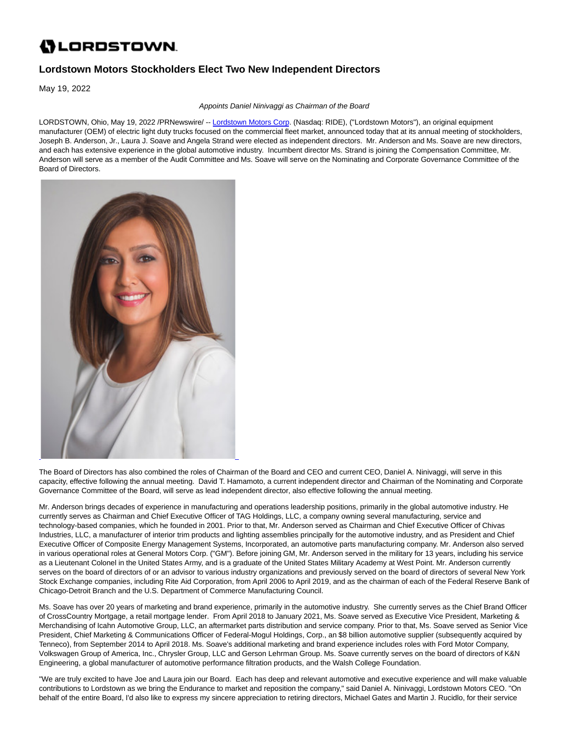# **()** LORDSTOWN.

## **Lordstown Motors Stockholders Elect Two New Independent Directors**

May 19, 2022

Appoints Daniel Ninivaggi as Chairman of the Board

LORDSTOWN, Ohio, May 19, 2022 /PRNewswire/ -- [Lordstown Motors Corp.](https://c212.net/c/link/?t=0&l=en&o=3543156-1&h=1250050619&u=http%3A%2F%2Fwww.lordstownmotors.com%2F&a=Lordstown+Motors+Corp) (Nasdaq: RIDE), ("Lordstown Motors"), an original equipment manufacturer (OEM) of electric light duty trucks focused on the commercial fleet market, announced today that at its annual meeting of stockholders, Joseph B. Anderson, Jr., Laura J. Soave and Angela Strand were elected as independent directors. Mr. Anderson and Ms. Soave are new directors, and each has extensive experience in the global automotive industry. Incumbent director Ms. Strand is joining the Compensation Committee, Mr. Anderson will serve as a member of the Audit Committee and Ms. Soave will serve on the Nominating and Corporate Governance Committee of the Board of Directors.



The Board of Directors has also combined the roles of Chairman of the Board and CEO and current CEO, Daniel A. Ninivaggi, will serve in this capacity, effective following the annual meeting. David T. Hamamoto, a current independent director and Chairman of the Nominating and Corporate Governance Committee of the Board, will serve as lead independent director, also effective following the annual meeting.

Mr. Anderson brings decades of experience in manufacturing and operations leadership positions, primarily in the global automotive industry. He currently serves as Chairman and Chief Executive Officer of TAG Holdings, LLC, a company owning several manufacturing, service and technology-based companies, which he founded in 2001. Prior to that, Mr. Anderson served as Chairman and Chief Executive Officer of Chivas Industries, LLC, a manufacturer of interior trim products and lighting assemblies principally for the automotive industry, and as President and Chief Executive Officer of Composite Energy Management Systems, Incorporated, an automotive parts manufacturing company. Mr. Anderson also served in various operational roles at General Motors Corp. ("GM"). Before joining GM, Mr. Anderson served in the military for 13 years, including his service as a Lieutenant Colonel in the United States Army, and is a graduate of the United States Military Academy at West Point. Mr. Anderson currently serves on the board of directors of or an advisor to various industry organizations and previously served on the board of directors of several New York Stock Exchange companies, including Rite Aid Corporation, from April 2006 to April 2019, and as the chairman of each of the Federal Reserve Bank of Chicago-Detroit Branch and the U.S. Department of Commerce Manufacturing Council.

Ms. Soave has over 20 years of marketing and brand experience, primarily in the automotive industry. She currently serves as the Chief Brand Officer of CrossCountry Mortgage, a retail mortgage lender. From April 2018 to January 2021, Ms. Soave served as Executive Vice President, Marketing & Merchandising of Icahn Automotive Group, LLC, an aftermarket parts distribution and service company. Prior to that, Ms. Soave served as Senior Vice President, Chief Marketing & Communications Officer of Federal-Mogul Holdings, Corp., an \$8 billion automotive supplier (subsequently acquired by Tenneco), from September 2014 to April 2018. Ms. Soave's additional marketing and brand experience includes roles with Ford Motor Company, Volkswagen Group of America, Inc., Chrysler Group, LLC and Gerson Lehrman Group. Ms. Soave currently serves on the board of directors of K&N Engineering, a global manufacturer of automotive performance filtration products, and the Walsh College Foundation.

"We are truly excited to have Joe and Laura join our Board. Each has deep and relevant automotive and executive experience and will make valuable contributions to Lordstown as we bring the Endurance to market and reposition the company," said Daniel A. Ninivaggi, Lordstown Motors CEO. "On behalf of the entire Board, I'd also like to express my sincere appreciation to retiring directors, Michael Gates and Martin J. Rucidlo, for their service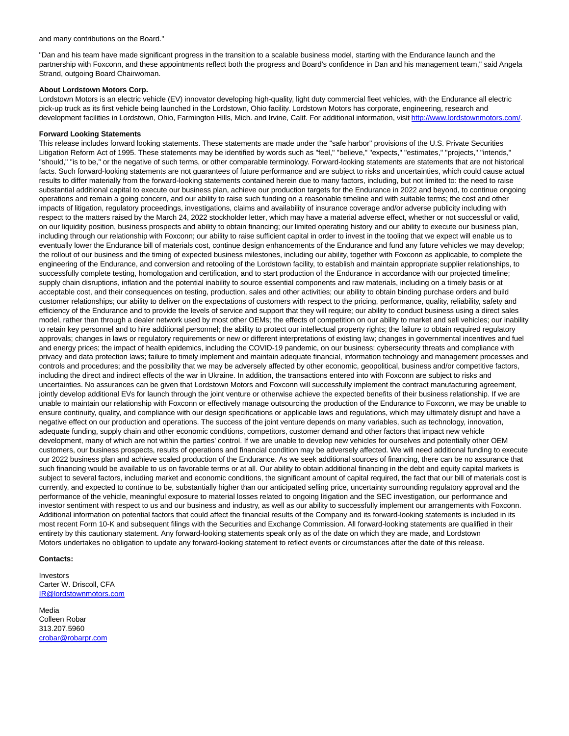"Dan and his team have made significant progress in the transition to a scalable business model, starting with the Endurance launch and the partnership with Foxconn, and these appointments reflect both the progress and Board's confidence in Dan and his management team," said Angela Strand, outgoing Board Chairwoman.

### **About Lordstown Motors Corp.**

Lordstown Motors is an electric vehicle (EV) innovator developing high-quality, light duty commercial fleet vehicles, with the Endurance all electric pick-up truck as its first vehicle being launched in the Lordstown, Ohio facility. Lordstown Motors has corporate, engineering, research and development facilities in Lordstown, Ohio, Farmington Hills, Mich. and Irvine, Calif. For additional information, visit [http://www.lordstownmotors.com/.](https://c212.net/c/link/?t=0&l=en&o=3543156-1&h=4099119599&u=http%3A%2F%2Fwww.lordstownmotors.com%2F&a=http%3A%2F%2Fwww.lordstownmotors.com%2F)

### **Forward Looking Statements**

This release includes forward looking statements. These statements are made under the "safe harbor" provisions of the U.S. Private Securities Litigation Reform Act of 1995. These statements may be identified by words such as "feel," "believe," "expects," "estimates," "projects," "intends," "should," "is to be," or the negative of such terms, or other comparable terminology. Forward-looking statements are statements that are not historical facts. Such forward-looking statements are not guarantees of future performance and are subject to risks and uncertainties, which could cause actual results to differ materially from the forward-looking statements contained herein due to many factors, including, but not limited to: the need to raise substantial additional capital to execute our business plan, achieve our production targets for the Endurance in 2022 and beyond, to continue ongoing operations and remain a going concern, and our ability to raise such funding on a reasonable timeline and with suitable terms; the cost and other impacts of litigation, regulatory proceedings, investigations, claims and availability of insurance coverage and/or adverse publicity including with respect to the matters raised by the March 24, 2022 stockholder letter, which may have a material adverse effect, whether or not successful or valid, on our liquidity position, business prospects and ability to obtain financing; our limited operating history and our ability to execute our business plan, including through our relationship with Foxconn; our ability to raise sufficient capital in order to invest in the tooling that we expect will enable us to eventually lower the Endurance bill of materials cost, continue design enhancements of the Endurance and fund any future vehicles we may develop; the rollout of our business and the timing of expected business milestones, including our ability, together with Foxconn as applicable, to complete the engineering of the Endurance, and conversion and retooling of the Lordstown facility, to establish and maintain appropriate supplier relationships, to successfully complete testing, homologation and certification, and to start production of the Endurance in accordance with our projected timeline; supply chain disruptions, inflation and the potential inability to source essential components and raw materials, including on a timely basis or at acceptable cost, and their consequences on testing, production, sales and other activities; our ability to obtain binding purchase orders and build customer relationships; our ability to deliver on the expectations of customers with respect to the pricing, performance, quality, reliability, safety and efficiency of the Endurance and to provide the levels of service and support that they will require; our ability to conduct business using a direct sales model, rather than through a dealer network used by most other OEMs; the effects of competition on our ability to market and sell vehicles; our inability to retain key personnel and to hire additional personnel; the ability to protect our intellectual property rights; the failure to obtain required regulatory approvals; changes in laws or regulatory requirements or new or different interpretations of existing law; changes in governmental incentives and fuel and energy prices; the impact of health epidemics, including the COVID-19 pandemic, on our business; cybersecurity threats and compliance with privacy and data protection laws; failure to timely implement and maintain adequate financial, information technology and management processes and controls and procedures; and the possibility that we may be adversely affected by other economic, geopolitical, business and/or competitive factors, including the direct and indirect effects of the war in Ukraine. In addition, the transactions entered into with Foxconn are subject to risks and uncertainties. No assurances can be given that Lordstown Motors and Foxconn will successfully implement the contract manufacturing agreement, jointly develop additional EVs for launch through the joint venture or otherwise achieve the expected benefits of their business relationship. If we are unable to maintain our relationship with Foxconn or effectively manage outsourcing the production of the Endurance to Foxconn, we may be unable to ensure continuity, quality, and compliance with our design specifications or applicable laws and regulations, which may ultimately disrupt and have a negative effect on our production and operations. The success of the joint venture depends on many variables, such as technology, innovation, adequate funding, supply chain and other economic conditions, competitors, customer demand and other factors that impact new vehicle development, many of which are not within the parties' control. If we are unable to develop new vehicles for ourselves and potentially other OEM customers, our business prospects, results of operations and financial condition may be adversely affected. We will need additional funding to execute our 2022 business plan and achieve scaled production of the Endurance. As we seek additional sources of financing, there can be no assurance that such financing would be available to us on favorable terms or at all. Our ability to obtain additional financing in the debt and equity capital markets is subject to several factors, including market and economic conditions, the significant amount of capital required, the fact that our bill of materials cost is currently, and expected to continue to be, substantially higher than our anticipated selling price, uncertainty surrounding regulatory approval and the performance of the vehicle, meaningful exposure to material losses related to ongoing litigation and the SEC investigation, our performance and investor sentiment with respect to us and our business and industry, as well as our ability to successfully implement our arrangements with Foxconn. Additional information on potential factors that could affect the financial results of the Company and its forward-looking statements is included in its most recent Form 10-K and subsequent filings with the Securities and Exchange Commission. All forward-looking statements are qualified in their entirety by this cautionary statement. Any forward-looking statements speak only as of the date on which they are made, and Lordstown Motors undertakes no obligation to update any forward-looking statement to reflect events or circumstances after the date of this release.

### **Contacts:**

Investors Carter W. Driscoll, CFA [IR@lordstownmotors.com](mailto:IR@lordstownmotors.com)

Media Colleen Robar 313.207.5960 [crobar@robarpr.com](mailto:crobar@robarpr.com)